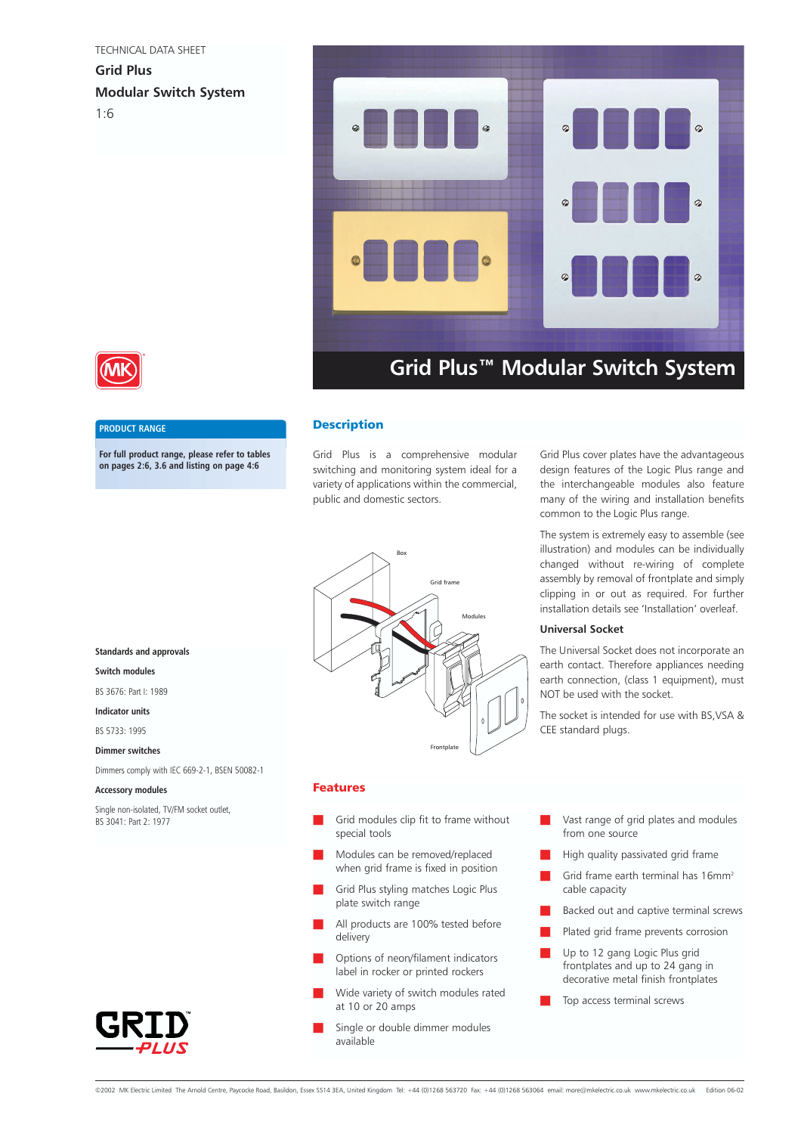#### TECHNICAL DATA SHEET

**Grid Plus Modular Switch System** 1:6





### **PRODUCT RANGE**

**For full product range, please refer to tables on pages 2:6, 3.6 and listing on page 4:6**

# **Description**

Grid Plus is a comprehensive modular switching and monitoring system ideal for a variety of applications within the commercial, public and domestic sectors.



### Features

- Grid modules clip fit to frame without special tools
- Modules can be removed/replaced when grid frame is fixed in position
- Grid Plus styling matches Logic Plus plate switch range
- All products are 100% tested before delivery
- Options of neon/filament indicators label in rocker or printed rockers
- Wide variety of switch modules rated at 10 or 20 amps
- Single or double dimmer modules available

Grid Plus cover plates have the advantageous design features of the Logic Plus range and the interchangeable modules also feature many of the wiring and installation benefits common to the Logic Plus range.

The system is extremely easy to assemble (see illustration) and modules can be individually changed without re-wiring of complete assembly by removal of frontplate and simply clipping in or out as required. For further installation details see 'Installation' overleaf.

# **Universal Socket**

The Universal Socket does not incorporate an earth contact. Therefore appliances needing earth connection, (class 1 equipment), must NOT be used with the socket.

The socket is intended for use with BS,VSA & CEE standard plugs.

- Vast range of grid plates and modules from one source
- High quality passivated grid frame
- Grid frame earth terminal has  $16$ mm<sup>2</sup> cable capacity
- Backed out and captive terminal screws
- Plated grid frame prevents corrosion
- Up to 12 gang Logic Plus grid frontplates and up to 24 gang in decorative metal finish frontplates
- Top access terminal screws

# **Standards and approvals**

# **Switch modules**

BS 3676: Part I: 1989

#### **Indicator units**

BS 5733: 1995

#### **Dimmer switches**

Dimmers comply with IEC 669-2-1, BSEN 50082-1

#### **Accessory modules**

Single non-isolated, TV/FM socket outlet, BS 3041: Part 2: 1977

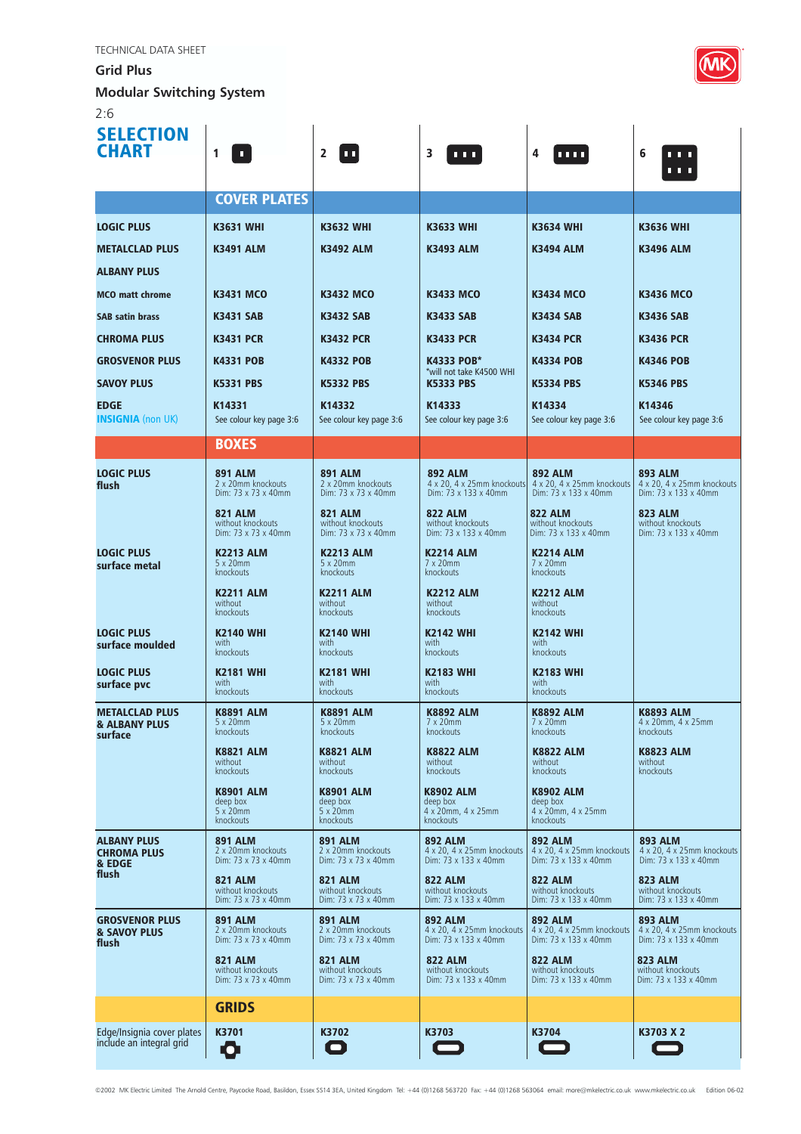**Grid Plus** 

**Modular Switching System**

2:6

| <b>SELECTION</b><br><b>CHART</b>                             | 1<br>$\blacksquare$                                         | $\mathbf{2}$<br>ш                                             | 3<br>.                                                               | 4<br><b>TITL</b>                                                     | 6<br>.<br><b>111</b>                                                 |
|--------------------------------------------------------------|-------------------------------------------------------------|---------------------------------------------------------------|----------------------------------------------------------------------|----------------------------------------------------------------------|----------------------------------------------------------------------|
|                                                              | <b>COVER PLATES</b>                                         |                                                               |                                                                      |                                                                      |                                                                      |
| <b>LOGIC PLUS</b>                                            | <b>K3631 WHI</b>                                            | <b>K3632 WHI</b>                                              | <b>K3633 WHI</b>                                                     | <b>K3634 WHI</b>                                                     | <b>K3636 WHI</b>                                                     |
| <b>METALCLAD PLUS</b>                                        | <b>K3491 ALM</b>                                            | <b>K3492 ALM</b>                                              | <b>K3493 ALM</b>                                                     | <b>K3494 ALM</b>                                                     | <b>K3496 ALM</b>                                                     |
| <b>ALBANY PLUS</b>                                           |                                                             |                                                               |                                                                      |                                                                      |                                                                      |
| <b>MCO</b> matt chrome                                       | <b>K3431 MCO</b>                                            | <b>K3432 MCO</b>                                              | <b>K3433 MCO</b>                                                     | <b>K3434 MCO</b>                                                     | <b>K3436 MCO</b>                                                     |
| <b>SAB satin brass</b>                                       | <b>K3431 SAB</b>                                            | <b>K3432 SAB</b>                                              | <b>K3433 SAB</b>                                                     | <b>K3434 SAB</b>                                                     | <b>K3436 SAB</b>                                                     |
| <b>CHROMA PLUS</b>                                           | <b>K3431 PCR</b>                                            | <b>K3432 PCR</b>                                              | <b>K3433 PCR</b>                                                     | <b>K3434 PCR</b>                                                     | <b>K3436 PCR</b>                                                     |
| <b>GROSVENOR PLUS</b>                                        | <b>K4331 POB</b>                                            | <b>K4332 POB</b>                                              | <b>K4333 POB*</b><br>*will not take K4500 WHI                        | <b>K4334 POB</b>                                                     | <b>K4346 POB</b>                                                     |
| <b>SAVOY PLUS</b>                                            | <b>K5331 PBS</b>                                            | <b>K5332 PBS</b>                                              | <b>K5333 PBS</b>                                                     | <b>K5334 PBS</b>                                                     | <b>K5346 PBS</b>                                                     |
| <b>EDGE</b><br><b>INSIGNIA</b> (non UK)                      | K14331<br>See colour key page 3:6                           | K14332<br>See colour key page 3:6                             | K14333<br>See colour key page 3:6                                    | K14334<br>See colour key page 3:6                                    | K14346<br>See colour key page 3:6                                    |
|                                                              | <b>BOXES</b>                                                |                                                               |                                                                      |                                                                      |                                                                      |
| <b>LOGIC PLUS</b><br>flush                                   | <b>891 ALM</b><br>2 x 20mm knockouts<br>Dim: 73 x 73 x 40mm | <b>891 ALM</b><br>2 x 20mm knockouts<br>Dim: 73 x 73 x 40mm   | <b>892 ALM</b><br>4 x 20, 4 x 25mm knockouts<br>Dim: 73 x 133 x 40mm | <b>892 ALM</b><br>4 x 20, 4 x 25mm knockouts<br>Dim: 73 x 133 x 40mm | <b>893 ALM</b><br>4 x 20, 4 x 25mm knockouts<br>Dim: 73 x 133 x 40mm |
|                                                              | <b>821 ALM</b><br>without knockouts<br>Dim: 73 x 73 x 40mm  | <b>821 ALM</b><br>without knockouts<br>Dim: 73 x 73 x 40mm    | <b>822 ALM</b><br>without knockouts<br>Dim: 73 x 133 x 40mm          | <b>822 ALM</b><br>without knockouts<br>Dim: 73 x 133 x 40mm          | <b>823 ALM</b><br>without knockouts<br>Dim: 73 x 133 x 40mm          |
| <b>LOGIC PLUS</b><br>surface metal                           | <b>K2213 ALM</b><br>5 x 20mm<br>knockouts                   | <b>K2213 ALM</b><br>5x20mm<br>knockouts                       | <b>K2214 ALM</b><br>7 x 20mm<br>knockouts                            | <b>K2214 ALM</b><br>7 x 20mm<br>knockouts                            |                                                                      |
|                                                              | <b>K2211 ALM</b><br>without<br>knockouts                    | <b>K2211 ALM</b><br>without<br>knockouts                      | <b>K2212 ALM</b><br>without<br>knockouts                             | <b>K2212 ALM</b><br>without<br>knockouts                             |                                                                      |
| <b>LOGIC PLUS</b><br>surface moulded                         | <b>K2140 WHI</b><br>with<br>knockouts                       | <b>K2140 WHI</b><br>with<br>knockouts                         | <b>K2142 WHI</b><br>with<br>knockouts                                | <b>K2142 WHI</b><br>with<br>knockouts                                |                                                                      |
| <b>LOGIC PLUS</b><br>surface pvc                             | <b>K2181 WHI</b><br>with<br>knockouts                       | <b>K2181 WHI</b><br>with<br>knockouts                         | <b>K2183 WHI</b><br>with<br>knockouts                                | <b>K2183 WHI</b><br>with<br>knockouts                                |                                                                      |
| <b>METALCLAD PLUS</b><br><b>&amp; ALBANY PLUS</b><br>surface | <b>K8891 ALM</b><br>5 x 20mm<br>knockouts                   | <b>K8891 ALM</b><br>$5 \times 20$ mm<br>knockouts             | <b>K8892 ALM</b><br>7 x 20mm<br>knockouts                            | <b>K8892 ALM</b><br>7 x 20mm<br>knockouts                            | <b>K8893 ALM</b><br>4 x 20mm, 4 x 25mm<br>knockouts                  |
|                                                              | <b>K8821 ALM</b><br>without<br>knockouts                    | <b>K8821 ALM</b><br>without<br>knockouts                      | <b>K8822 ALM</b><br>without<br>knockouts                             | <b>K8822 ALM</b><br>without<br>knockouts                             | <b>K8823 ALM</b><br>without<br>knockouts                             |
|                                                              | <b>K8901 ALM</b><br>deep box<br>5 x 20mm<br>knockouts       | <b>K8901 ALM</b><br>deep box<br>$5 \times 20$ mm<br>knockouts | <b>K8902 ALM</b><br>deep box<br>4 x 20mm, 4 x 25mm<br>knockouts      | <b>K8902 ALM</b><br>deep box<br>4 x 20mm, 4 x 25mm<br>knockouts      |                                                                      |
| <b>ALBANY PLUS</b><br><b>CHROMA PLUS</b><br>& EDGE           | <b>891 ALM</b><br>2 x 20mm knockouts<br>Dim: 73 x 73 x 40mm | <b>891 ALM</b><br>2 x 20mm knockouts<br>Dim: 73 x 73 x 40mm   | <b>892 ALM</b><br>4 x 20, 4 x 25mm knockouts<br>Dim: 73 x 133 x 40mm | <b>892 ALM</b><br>4 x 20, 4 x 25mm knockouts<br>Dim: 73 x 133 x 40mm | <b>893 ALM</b><br>4 x 20, 4 x 25mm knockouts<br>Dim: 73 x 133 x 40mm |
| flush                                                        | <b>821 ALM</b><br>without knockouts<br>Dim: 73 x 73 x 40mm  | <b>821 ALM</b><br>without knockouts<br>Dim: 73 x 73 x 40mm    | <b>822 ALM</b><br>without knockouts<br>Dim: 73 x 133 x 40mm          | <b>822 ALM</b><br>without knockouts<br>Dim: 73 x 133 x 40mm          | <b>823 ALM</b><br>without knockouts<br>Dim: 73 x 133 x 40mm          |
| <b>GROSVENOR PLUS</b><br><b>&amp; SAVOY PLUS</b><br>flush    | <b>891 ALM</b><br>2 x 20mm knockouts<br>Dim: 73 x 73 x 40mm | <b>891 ALM</b><br>2 x 20mm knockouts<br>Dim: 73 x 73 x 40mm   | <b>892 ALM</b><br>4 x 20, 4 x 25mm knockouts<br>Dim: 73 x 133 x 40mm | <b>892 ALM</b><br>4 x 20, 4 x 25mm knockouts<br>Dim: 73 x 133 x 40mm | <b>893 ALM</b><br>4 x 20, 4 x 25mm knockouts<br>Dim: 73 x 133 x 40mm |
|                                                              | <b>821 ALM</b><br>without knockouts<br>Dim: 73 x 73 x 40mm  | <b>821 ALM</b><br>without knockouts<br>Dim: 73 x 73 x 40mm    | <b>822 ALM</b><br>without knockouts<br>Dim: 73 x 133 x 40mm          | <b>822 ALM</b><br>without knockouts<br>Dim: 73 x 133 x 40mm          | <b>823 ALM</b><br>without knockouts<br>Dim: 73 x 133 x 40mm          |
|                                                              | <b>GRIDS</b>                                                |                                                               |                                                                      |                                                                      |                                                                      |
| Edge/Insignia cover plates<br>include an integral grid       | K3701<br>О                                                  | K3702<br>0                                                    | K3703                                                                | K3704                                                                | K3703 X 2                                                            |

©2002 MK Electric Limited The Arnold Centre, Paycocke Road, Basildon, Essex SS14 3EA, United Kingdom Tel: +44 (0)1268 563720 Fax: +44 (0)1268 563064 email: more@mkelectric.co.uk www.mkelectric.co.uk Edition 06-02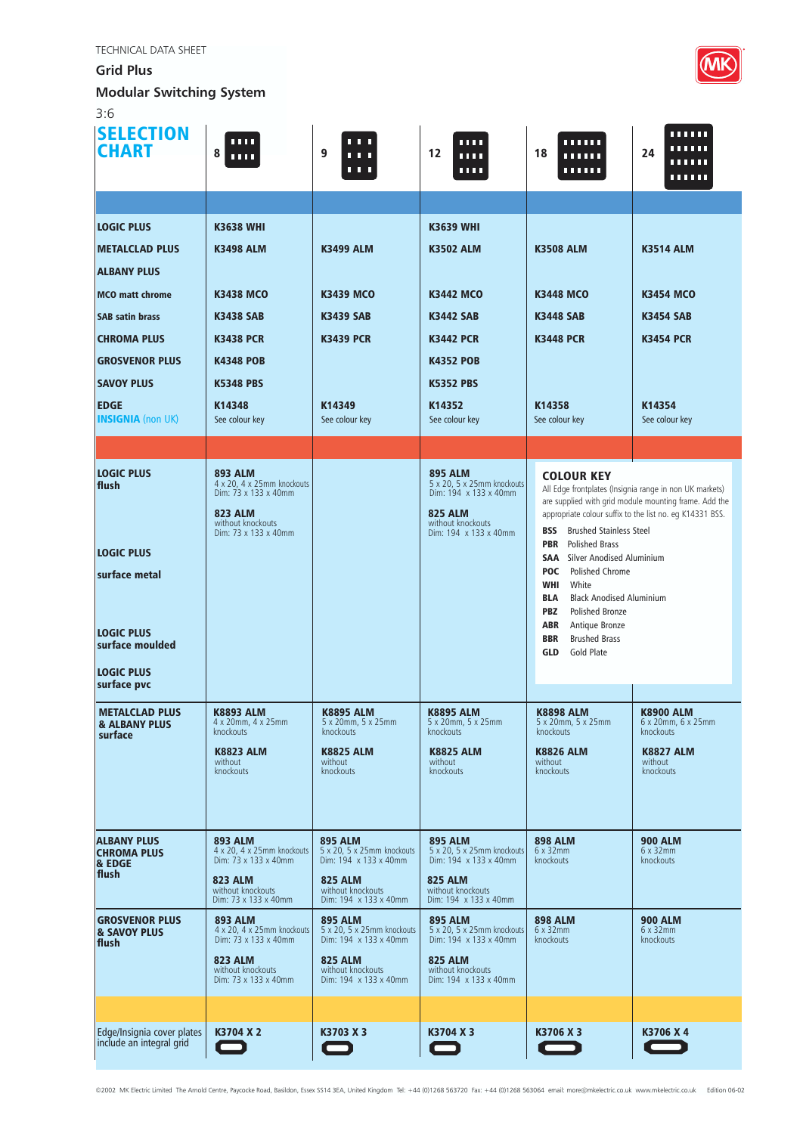**Grid Plus** 

**Modular Switching System**



| <b>SELECTION</b><br><b>CHART</b>                                                          | ш<br>8<br><b>TELE</b>                                                                                                               | 1 I I<br>9<br>.<br>.                                                  | <b>THE</b><br>12<br><b>1111</b><br>ш                                                                                                  | ,,,,,,<br>18<br>,,,,,,<br>,,,,,,                                                                                                                                                                                                                                                         | ,,,,,,<br>umu<br>24<br>,,,,,,<br>,,,,,,             |  |
|-------------------------------------------------------------------------------------------|-------------------------------------------------------------------------------------------------------------------------------------|-----------------------------------------------------------------------|---------------------------------------------------------------------------------------------------------------------------------------|------------------------------------------------------------------------------------------------------------------------------------------------------------------------------------------------------------------------------------------------------------------------------------------|-----------------------------------------------------|--|
|                                                                                           |                                                                                                                                     |                                                                       |                                                                                                                                       |                                                                                                                                                                                                                                                                                          |                                                     |  |
| <b>LOGIC PLUS</b>                                                                         | <b>K3638 WHI</b>                                                                                                                    |                                                                       | <b>K3639 WHI</b>                                                                                                                      |                                                                                                                                                                                                                                                                                          |                                                     |  |
| <b>METALCLAD PLUS</b>                                                                     | <b>K3498 ALM</b>                                                                                                                    | <b>K3499 ALM</b>                                                      | <b>K3502 ALM</b>                                                                                                                      | <b>K3508 ALM</b>                                                                                                                                                                                                                                                                         | <b>K3514 ALM</b>                                    |  |
| <b>ALBANY PLUS</b>                                                                        |                                                                                                                                     |                                                                       |                                                                                                                                       |                                                                                                                                                                                                                                                                                          |                                                     |  |
| <b>MCO</b> matt chrome                                                                    | <b>K3438 MCO</b>                                                                                                                    | <b>K3439 MCO</b>                                                      | <b>K3442 MCO</b>                                                                                                                      | <b>K3448 MCO</b>                                                                                                                                                                                                                                                                         | <b>K3454 MCO</b>                                    |  |
| <b>SAB satin brass</b>                                                                    | <b>K3438 SAB</b>                                                                                                                    | <b>K3439 SAB</b>                                                      | <b>K3442 SAB</b>                                                                                                                      | <b>K3448 SAB</b>                                                                                                                                                                                                                                                                         | <b>K3454 SAB</b>                                    |  |
| <b>CHROMA PLUS</b>                                                                        | <b>K3438 PCR</b>                                                                                                                    | <b>K3439 PCR</b>                                                      | <b>K3442 PCR</b>                                                                                                                      | <b>K3448 PCR</b>                                                                                                                                                                                                                                                                         | <b>K3454 PCR</b>                                    |  |
| <b>GROSVENOR PLUS</b>                                                                     | <b>K4348 POB</b>                                                                                                                    |                                                                       | <b>K4352 POB</b>                                                                                                                      |                                                                                                                                                                                                                                                                                          |                                                     |  |
| <b>SAVOY PLUS</b>                                                                         | <b>K5348 PBS</b>                                                                                                                    |                                                                       | <b>K5352 PBS</b>                                                                                                                      |                                                                                                                                                                                                                                                                                          |                                                     |  |
| <b>EDGE</b><br><b>INSIGNIA</b> (non UK)                                                   | K14348<br>See colour key                                                                                                            | K14349<br>See colour key                                              | K14352<br>See colour key                                                                                                              | K14358<br>See colour key                                                                                                                                                                                                                                                                 | K14354<br>See colour key                            |  |
|                                                                                           |                                                                                                                                     |                                                                       |                                                                                                                                       |                                                                                                                                                                                                                                                                                          |                                                     |  |
| <b>LOGIC PLUS</b><br>flush                                                                | <b>893 ALM</b><br>4 x 20, 4 x 25mm knockouts<br>Dim: 73 x 133 x 40mm<br><b>823 ALM</b><br>without knockouts<br>Dim: 73 x 133 x 40mm |                                                                       | <b>895 ALM</b><br>5 x 20, 5 x 25mm knockouts<br>Dim: 194 x 133 x 40mm<br><b>825 ALM</b><br>without knockouts<br>Dim: 194 x 133 x 40mm | <b>COLOUR KEY</b><br>All Edge frontplates (Insignia range in non UK markets)<br>are supplied with grid module mounting frame. Add the<br>appropriate colour suffix to the list no. eq K14331 BSS.<br><b>Brushed Stainless Steel</b><br><b>BSS</b><br><b>Polished Brass</b><br><b>PBR</b> |                                                     |  |
| <b>LOGIC PLUS</b>                                                                         |                                                                                                                                     |                                                                       |                                                                                                                                       | <b>SAA</b> Silver Anodised Aluminium<br><b>POC</b> Polished Chrome                                                                                                                                                                                                                       |                                                     |  |
| surface metal<br><b>LOGIC PLUS</b><br>surface moulded<br><b>LOGIC PLUS</b><br>surface pvc |                                                                                                                                     |                                                                       |                                                                                                                                       | White<br><b>WHI</b><br><b>Black Anodised Aluminium</b><br>BLA<br>PBZ<br><b>Polished Bronze</b><br>ABR<br>Antique Bronze<br><b>Brushed Brass</b><br><b>BBR</b><br><b>Gold Plate</b><br><b>GLD</b>                                                                                         |                                                     |  |
| <b>METALCLAD PLUS</b><br><b>&amp; ALBANY PLUS</b><br>surface                              | <b>K8893 ALM</b><br>$4 \times 20$ mm, $4 \times 25$ mm<br>knockouts                                                                 | <b>K8895 ALM</b><br>5 x 20mm, 5 x 25mm<br>knockouts                   | <b>K8895 ALM</b><br>5 x 20mm, 5 x 25mm<br>knockouts                                                                                   | <b>K8898 ALM</b><br>$5 \times 20$ mm, $5 \times 25$ mm<br>knockouts                                                                                                                                                                                                                      | <b>K8900 ALM</b><br>6 x 20mm, 6 x 25mm<br>knockouts |  |
|                                                                                           | <b>K8823 ALM</b><br>without<br>knockouts                                                                                            | <b>K8825 ALM</b><br>without<br>knockouts                              | <b>K8825 ALM</b><br>without<br>knockouts                                                                                              | <b>K8826 ALM</b><br>without<br>knockouts                                                                                                                                                                                                                                                 | <b>K8827 ALM</b><br>without<br>knockouts            |  |
| <b>ALBANY PLUS</b><br><b>CHROMA PLUS</b><br>& EDGE                                        | <b>893 ALM</b><br>4 x 20, 4 x 25mm knockouts<br>Dim: 73 x 133 x 40mm                                                                | <b>895 ALM</b><br>5 x 20, 5 x 25mm knockouts<br>Dim: 194 x 133 x 40mm | <b>895 ALM</b><br>5 x 20, 5 x 25mm knockouts<br>Dim: 194 x 133 x 40mm                                                                 | <b>898 ALM</b><br>$6 \times 32$ mm<br>knockouts                                                                                                                                                                                                                                          | <b>900 ALM</b><br>$6 \times 32$ mm<br>knockouts     |  |
| flush                                                                                     | <b>823 ALM</b><br>without knockouts<br>Dim: 73 x 133 x 40mm                                                                         | <b>825 ALM</b><br>without knockouts<br>Dim: 194 x 133 x 40mm          | <b>825 ALM</b><br>without knockouts<br>Dim: 194 x 133 x 40mm                                                                          |                                                                                                                                                                                                                                                                                          |                                                     |  |
| <b>GROSVENOR PLUS</b><br><b>&amp; SAVOY PLUS</b><br>flush                                 | <b>893 ALM</b><br>4 x 20, 4 x 25mm knockouts<br>Dim: 73 x 133 x 40mm                                                                | <b>895 ALM</b><br>5 x 20, 5 x 25mm knockouts<br>Dim: 194 x 133 x 40mm | <b>895 ALM</b><br>5 x 20, 5 x 25mm knockouts<br>Dim: 194 x 133 x 40mm                                                                 | <b>898 ALM</b><br>$6 \times 32$ mm<br>knockouts                                                                                                                                                                                                                                          | <b>900 ALM</b><br>$6 \times 32$ mm<br>knockouts     |  |
|                                                                                           | <b>823 ALM</b><br>without knockouts<br>Dim: 73 x 133 x 40mm                                                                         | <b>825 ALM</b><br>without knockouts<br>Dim: 194 x 133 x 40mm          | <b>825 ALM</b><br>without knockouts<br>Dim: 194 x 133 x 40mm                                                                          |                                                                                                                                                                                                                                                                                          |                                                     |  |
|                                                                                           |                                                                                                                                     |                                                                       |                                                                                                                                       |                                                                                                                                                                                                                                                                                          |                                                     |  |
| Edge/Insignia cover plates<br>include an integral grid                                    | K3704 X 2                                                                                                                           | K3703 X 3                                                             | K3704 X 3                                                                                                                             | K3706 X 3                                                                                                                                                                                                                                                                                | K3706 X 4                                           |  |

©2002 MK Electric Limited The Arnold Centre, Paycocke Road, Basildon, Essex SS14 3EA, United Kingdom Tel: +44 (0)1268 563720 Fax: +44 (0)1268 563064 email: more@mkelectric.co.uk www.mkelectric.co.uk Edition 06-02

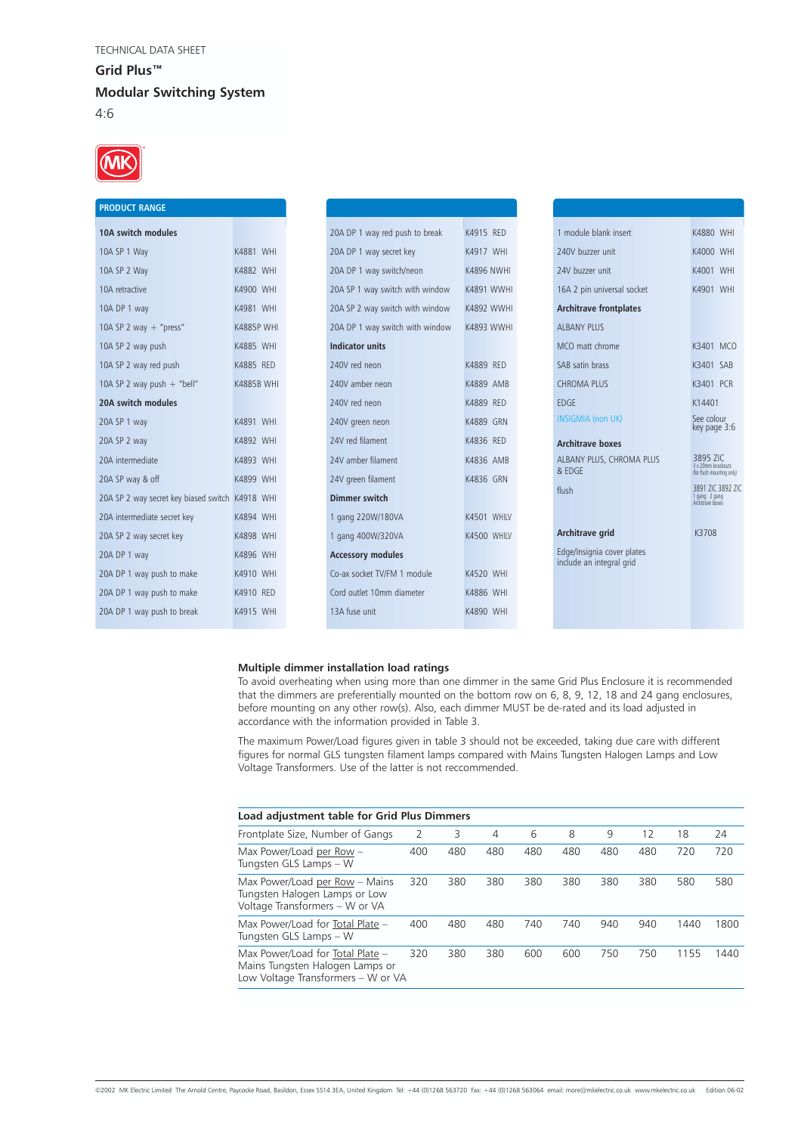

| <b>PRODUCT RANGE</b>                            |                   |                        |                                 |                   |                                                        |                                                        |
|-------------------------------------------------|-------------------|------------------------|---------------------------------|-------------------|--------------------------------------------------------|--------------------------------------------------------|
| 10A switch modules                              |                   |                        | 20A DP 1 way red push to break  | K4915 RED         | 1 module blank insert                                  | <b>K4880 WHI</b>                                       |
| 10A SP 1 Way                                    | K4881 WHI         |                        | 20A DP 1 way secret key         | K4917 WHI         | 240V buzzer unit                                       | K4000 WHI                                              |
| 10A SP 2 Way                                    | K4882 WHI         |                        | 20A DP 1 way switch/neon        | <b>K4896 NWHI</b> | 24V buzzer unit                                        | K4001 WHI                                              |
| 10A retractive                                  | K4900 WHI         |                        | 20A SP 1 way switch with window | <b>K4891 WWHI</b> | 16A 2 pin universal socket                             | K4901 WHI                                              |
| 10A DP 1 way                                    | K4981 WHI         |                        | 20A SP 2 way switch with window | <b>K4892 WWHI</b> | <b>Architrave frontplates</b>                          |                                                        |
| 10A SP 2 way $+$ "press"                        | <b>K4885P WHI</b> |                        | 20A DP 1 way switch with window | K4893 WWHI        | <b>ALBANY PLUS</b>                                     |                                                        |
| 10A SP 2 way push                               | K4885 WHI         | <b>Indicator units</b> |                                 |                   | MCO matt chrome                                        | K3401 MCO                                              |
| 10A SP 2 way red push                           | K4885 RED         | 240V red neon          |                                 | K4889 RED         | SAB satin brass                                        | K3401 SAB                                              |
| 10A SP 2 way push $+$ "bell"                    | <b>K4885B WHI</b> |                        | 240V amber neon                 | K4889 AMB         | <b>CHROMA PLUS</b>                                     | K3401 PCR                                              |
| 20A switch modules                              |                   | 240V red neon          |                                 | K4889 RED         | <b>EDGE</b>                                            | K14401                                                 |
| 20A SP 1 way                                    | K4891 WHI         |                        | 240V green neon                 | <b>K4889 GRN</b>  | <b>INSIGMIA</b> (non UK)                               | See colour<br>key page 3:6                             |
| 20A SP 2 way                                    | K4892 WHI         | 24V red filament       |                                 | K4836 RED         | <b>Architrave boxes</b>                                |                                                        |
| 20A intermediate                                | K4893 WHI         |                        | 24V amber filament              | K4836 AMB         | ALBANY PLUS, CHROMA PLUS                               | 3895 ZIC<br>3 x 20mm knockouts                         |
| 20A SP way & off                                | K4899 WHI         |                        | 24V green filament              | K4836 GRN         | & EDGE                                                 | (for flush mounting only)                              |
| 20A SP 2 way secret key biased switch K4918 WHI |                   | Dimmer switch          |                                 |                   | flush                                                  | 3891 ZIC 3892 ZIC<br>1 gang 2 gang<br>Architrave boxes |
| 20A intermediate secret key                     | K4894 WHI         |                        | 1 gang 220W/180VA               | K4501 WHILV       |                                                        |                                                        |
| 20A SP 2 way secret key                         | K4898 WHI         |                        | 1 gang 400W/320VA               | K4500 WHILV       | Architrave grid                                        | K3708                                                  |
| 20A DP 1 way                                    | K4896 WHI         |                        | <b>Accessory modules</b>        |                   | Edge/Insignia cover plates<br>include an integral grid |                                                        |
| 20A DP 1 way push to make                       | K4910 WHI         |                        | Co-ax socket TV/FM 1 module     | K4520 WHI         |                                                        |                                                        |
| 20A DP 1 way push to make                       | K4910 RED         |                        | Cord outlet 10mm diameter       | K4886 WHI         |                                                        |                                                        |
| 20A DP 1 way push to break                      | K4915 WHI         | 13A fuse unit          |                                 | K4890 WHI         |                                                        |                                                        |
|                                                 |                   |                        |                                 |                   |                                                        |                                                        |

# **Multiple dimmer installation load ratings**

To avoid overheating when using more than one dimmer in the same Grid Plus Enclosure it is recommended that the dimmers are preferentially mounted on the bottom row on 6, 8, 9, 12, 18 and 24 gang enclosures, before mounting on any other row(s). Also, each dimmer MUST be de-rated and its load adjusted in accordance with the information provided in Table 3.

The maximum Power/Load figures given in table 3 should not be exceeded, taking due care with different figures for normal GLS tungsten filament lamps compared with Mains Tungsten Halogen Lamps and Low Voltage Transformers. Use of the latter is not reccommended.

| Load adjustment table for Grid Plus Dimmers                                                               |     |     |     |     |     |     |     |      |      |
|-----------------------------------------------------------------------------------------------------------|-----|-----|-----|-----|-----|-----|-----|------|------|
| Frontplate Size, Number of Gangs                                                                          | 2   | 3   | 4   | 6   | 8   | 9   | 12  | 18   | 24   |
| Max Power/Load per Row $-$<br>Tungsten GLS Lamps - W                                                      | 400 | 480 | 480 | 480 | 480 | 480 | 480 | 720  | 720  |
| Max Power/Load per Row - Mains<br>Tungsten Halogen Lamps or Low<br>Voltage Transformers - W or VA         | 320 | 380 | 380 | 380 | 380 | 380 | 380 | 580  | 580  |
| Max Power/Load for Total Plate -<br>Tungsten GLS Lamps - W                                                | 400 | 480 | 480 | 740 | 740 | 940 | 940 | 1440 | 1800 |
| Max Power/Load for Total Plate -<br>Mains Tungsten Halogen Lamps or<br>Low Voltage Transformers - W or VA | 320 | 380 | 380 | 600 | 600 | 750 | 750 | 1155 | 1440 |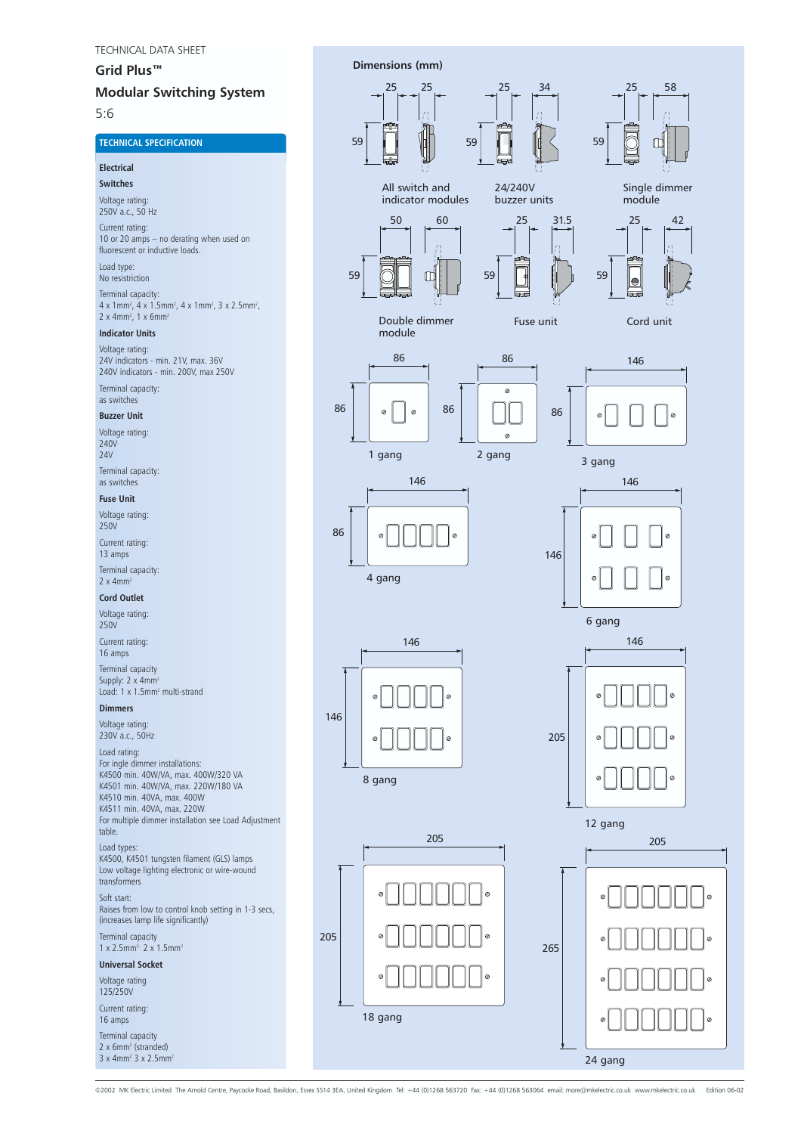# **Grid Plus™**

# **Modular Switching System**

5:6

# **TECHNICAL SPECIFICATION**

# **Electrical**

**Switches**

Voltage rating: 250V a.c., 50 Hz

Current rating: 10 or 20 amps – no derating when used on fluorescent or inductive loads.

#### Load type: No resistriction

Terminal capacity: 4 x 1mm<sup>2</sup>, 4 x 1.5mm<sup>2</sup>, 4 x 1mm<sup>2</sup>, 3 x 2.5mm<sup>2</sup>,  $2 \times 4$ mm<sup>2</sup>, 1 x 6mm<sup>2</sup>

### **Indicator Units**

Voltage rating: 24V indicators - min. 21V, max. 36V 240V indicators - min. 200V, max 250V

Terminal capacity: as switches

# **Buzzer Unit**

Voltage rating: 240V  $24V$ Terminal capacity:

as switches **Fuse Unit**

# Voltage rating:

250V

Current rating: 13 amps

Terminal capacity:  $2 \times 4$ mm<sup>2</sup>

# **Cord Outlet**

Voltage rating: 250V

Current rating: 16 amps

Terminal capacity Supply:  $2 \times 4$ mm<sup>2</sup> Load: 1 x 1.5mm<sup>2</sup> multi-strand

# **Dimmers**

Voltage rating: 230V a.c., 50Hz

#### Load rating: For ingle dimmer installations: K4500 min. 40W/VA, max. 400W/320 VA K4501 min. 40W/VA, max. 220W/180 VA K4510 min. 40VA, max. 400W K4511 min. 40VA, max. 220W For multiple dimmer installation see Load Adjustment table.

Load types: K4500, K4501 tungsten filament (GLS) lamps Low voltage lighting electronic or wire-wound transformers

#### Soft start:

Raises from low to control knob setting in 1-3 secs, (increases lamp life significantly)

Terminal capacity

# $1 \times 2.5$ mm<sup>2,</sup> 2 x 1.5mm<sup>2</sup>

**Universal Socket**

Voltage rating 125/250V

Current rating: 16 amps

Terminal capacity

 $2 \times 6$ mm<sup>2</sup> (stranded)  $3 \times 4$ mm<sup>2</sup>  $3 \times 2.5$ mm<sup>2</sup>



©2002 MK Electric Limited The Arnold Centre, Paycocke Road, Basildon, Essex SS14 3EA, United Kingdom Tel: +44 (0)1268 563720 Fax: +44 (0)1268 563064 email: more@mkelectric.co.uk www.mkelectric.co.uk Edition 06-02